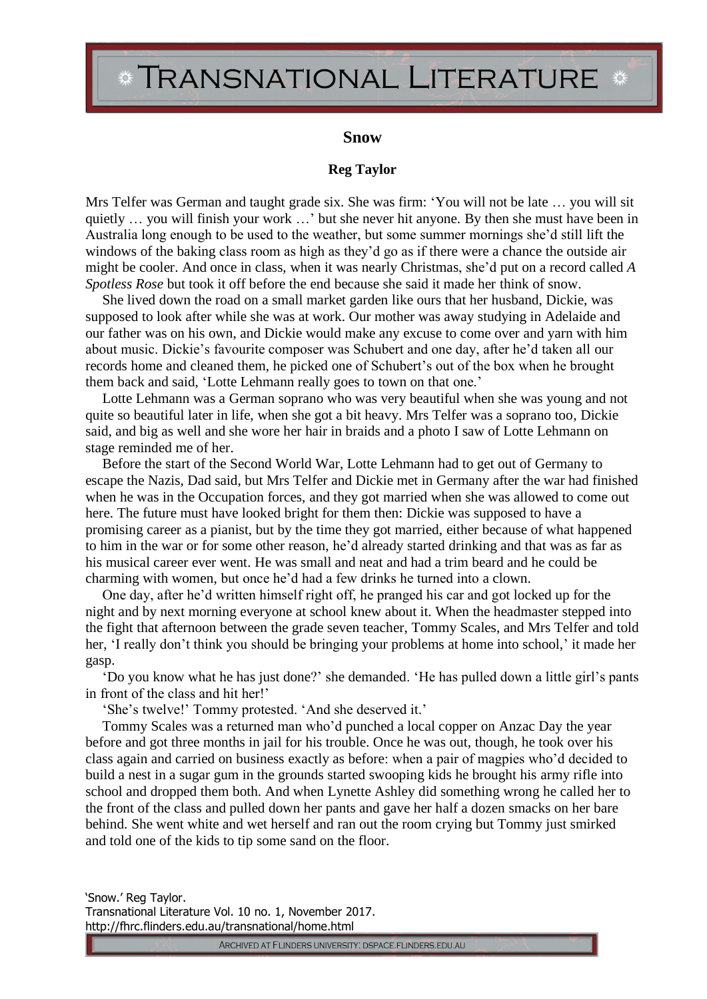## TRANSNATIONAL LITERATURE \*

## **Snow**

## **Reg Taylor**

Mrs Telfer was German and taught grade six. She was firm: 'You will not be late … you will sit quietly … you will finish your work …' but she never hit anyone. By then she must have been in Australia long enough to be used to the weather, but some summer mornings she'd still lift the windows of the baking class room as high as they'd go as if there were a chance the outside air might be cooler. And once in class, when it was nearly Christmas, she'd put on a record called *A Spotless Rose* but took it off before the end because she said it made her think of snow.

She lived down the road on a small market garden like ours that her husband, Dickie, was supposed to look after while she was at work. Our mother was away studying in Adelaide and our father was on his own, and Dickie would make any excuse to come over and yarn with him about music. Dickie's favourite composer was Schubert and one day, after he'd taken all our records home and cleaned them, he picked one of Schubert's out of the box when he brought them back and said, 'Lotte Lehmann really goes to town on that one.'

Lotte Lehmann was a German soprano who was very beautiful when she was young and not quite so beautiful later in life, when she got a bit heavy. Mrs Telfer was a soprano too, Dickie said, and big as well and she wore her hair in braids and a photo I saw of Lotte Lehmann on stage reminded me of her.

Before the start of the Second World War, Lotte Lehmann had to get out of Germany to escape the Nazis, Dad said, but Mrs Telfer and Dickie met in Germany after the war had finished when he was in the Occupation forces, and they got married when she was allowed to come out here. The future must have looked bright for them then: Dickie was supposed to have a promising career as a pianist, but by the time they got married, either because of what happened to him in the war or for some other reason, he'd already started drinking and that was as far as his musical career ever went. He was small and neat and had a trim beard and he could be charming with women, but once he'd had a few drinks he turned into a clown.

One day, after he'd written himself right off, he pranged his car and got locked up for the night and by next morning everyone at school knew about it. When the headmaster stepped into the fight that afternoon between the grade seven teacher, Tommy Scales, and Mrs Telfer and told her, 'I really don't think you should be bringing your problems at home into school,' it made her gasp.

'Do you know what he has just done?' she demanded. 'He has pulled down a little girl's pants in front of the class and hit her!'

'She's twelve!' Tommy protested. 'And she deserved it.'

Tommy Scales was a returned man who'd punched a local copper on Anzac Day the year before and got three months in jail for his trouble. Once he was out, though, he took over his class again and carried on business exactly as before: when a pair of magpies who'd decided to build a nest in a sugar gum in the grounds started swooping kids he brought his army rifle into school and dropped them both. And when Lynette Ashley did something wrong he called her to the front of the class and pulled down her pants and gave her half a dozen smacks on her bare behind. She went white and wet herself and ran out the room crying but Tommy just smirked and told one of the kids to tip some sand on the floor.

'Snow.' Reg Taylor. Transnational Literature Vol. 10 no. 1, November 2017. http://fhrc.flinders.edu.au/transnational/home.html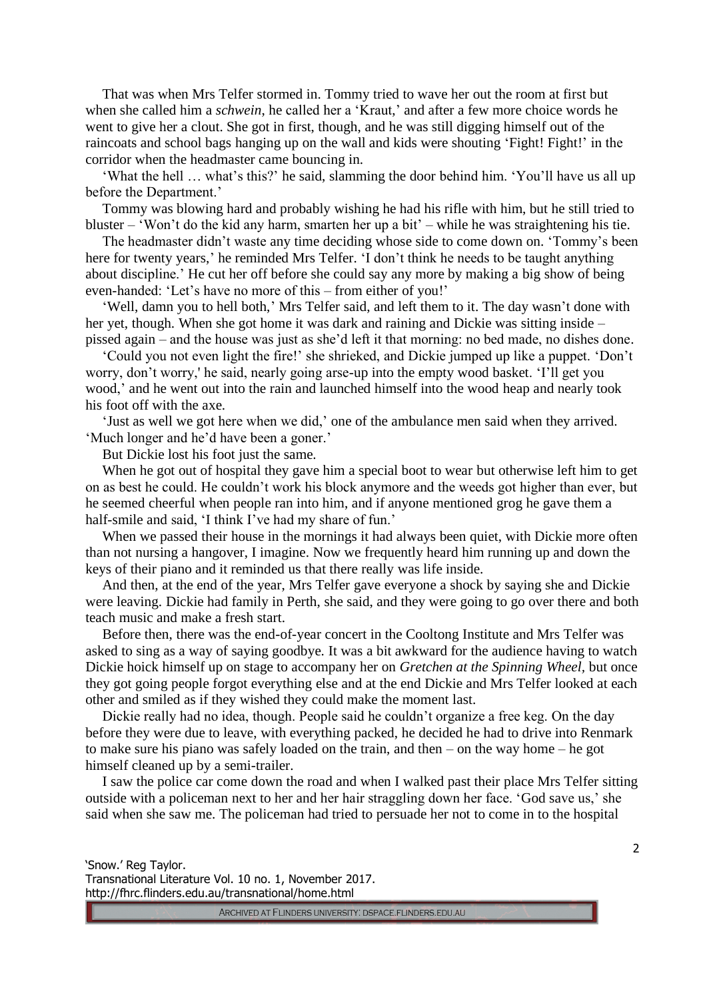That was when Mrs Telfer stormed in. Tommy tried to wave her out the room at first but when she called him a *schwein*, he called her a 'Kraut,' and after a few more choice words he went to give her a clout. She got in first, though, and he was still digging himself out of the raincoats and school bags hanging up on the wall and kids were shouting 'Fight! Fight!' in the corridor when the headmaster came bouncing in.

'What the hell … what's this?' he said, slamming the door behind him. 'You'll have us all up before the Department.'

Tommy was blowing hard and probably wishing he had his rifle with him, but he still tried to bluster – 'Won't do the kid any harm, smarten her up a bit' – while he was straightening his tie.

The headmaster didn't waste any time deciding whose side to come down on. 'Tommy's been here for twenty years,' he reminded Mrs Telfer. 'I don't think he needs to be taught anything about discipline.' He cut her off before she could say any more by making a big show of being even-handed: 'Let's have no more of this – from either of you!'

'Well, damn you to hell both,' Mrs Telfer said, and left them to it. The day wasn't done with her yet, though. When she got home it was dark and raining and Dickie was sitting inside – pissed again – and the house was just as she'd left it that morning: no bed made, no dishes done.

'Could you not even light the fire!' she shrieked, and Dickie jumped up like a puppet. 'Don't worry, don't worry,' he said, nearly going arse-up into the empty wood basket. 'I'll get you wood,' and he went out into the rain and launched himself into the wood heap and nearly took his foot off with the axe.

'Just as well we got here when we did,' one of the ambulance men said when they arrived. 'Much longer and he'd have been a goner.'

But Dickie lost his foot just the same.

When he got out of hospital they gave him a special boot to wear but otherwise left him to get on as best he could. He couldn't work his block anymore and the weeds got higher than ever, but he seemed cheerful when people ran into him, and if anyone mentioned grog he gave them a half-smile and said, 'I think I've had my share of fun.'

When we passed their house in the mornings it had always been quiet, with Dickie more often than not nursing a hangover, I imagine. Now we frequently heard him running up and down the keys of their piano and it reminded us that there really was life inside.

And then, at the end of the year, Mrs Telfer gave everyone a shock by saying she and Dickie were leaving. Dickie had family in Perth, she said, and they were going to go over there and both teach music and make a fresh start.

Before then, there was the end-of-year concert in the Cooltong Institute and Mrs Telfer was asked to sing as a way of saying goodbye. It was a bit awkward for the audience having to watch Dickie hoick himself up on stage to accompany her on *Gretchen at the Spinning Wheel,* but once they got going people forgot everything else and at the end Dickie and Mrs Telfer looked at each other and smiled as if they wished they could make the moment last.

Dickie really had no idea, though. People said he couldn't organize a free keg. On the day before they were due to leave, with everything packed, he decided he had to drive into Renmark to make sure his piano was safely loaded on the train, and then – on the way home – he got himself cleaned up by a semi-trailer.

I saw the police car come down the road and when I walked past their place Mrs Telfer sitting outside with a policeman next to her and her hair straggling down her face. 'God save us,' she said when she saw me. The policeman had tried to persuade her not to come in to the hospital

'Snow.' Reg Taylor. Transnational Literature Vol. 10 no. 1, November 2017. http://fhrc.flinders.edu.au/transnational/home.html

ARCHIVED AT FLINDERS UNIVERSITY: DSPACE.FLINDERS.EDU.AU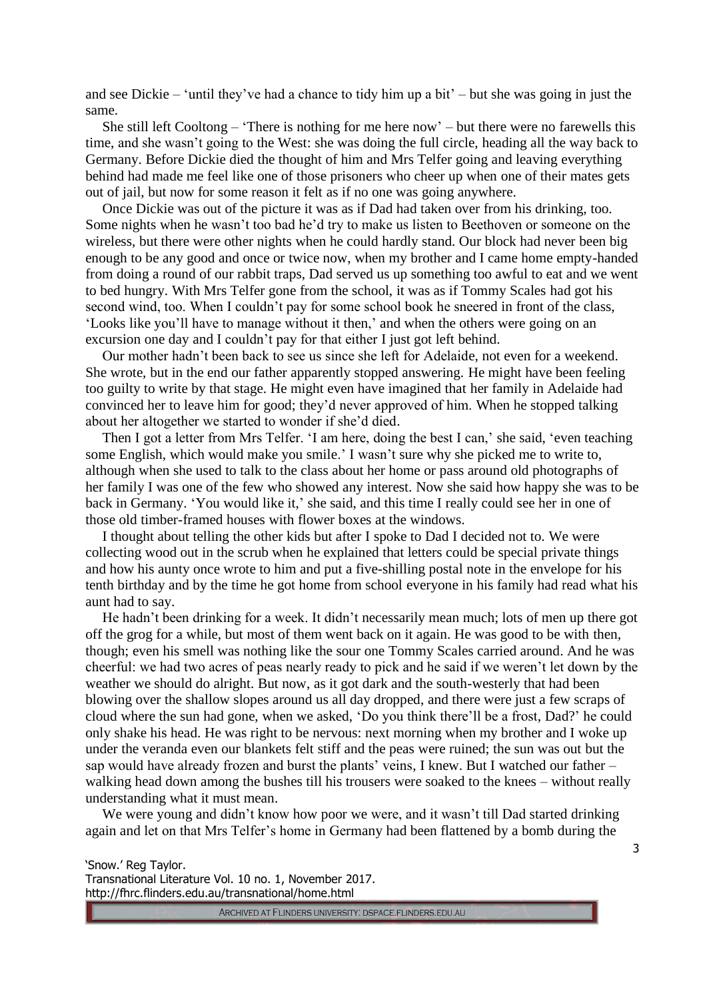and see Dickie – 'until they've had a chance to tidy him up a bit' – but she was going in just the same.

She still left Cooltong – 'There is nothing for me here now' – but there were no farewells this time, and she wasn't going to the West: she was doing the full circle, heading all the way back to Germany. Before Dickie died the thought of him and Mrs Telfer going and leaving everything behind had made me feel like one of those prisoners who cheer up when one of their mates gets out of jail, but now for some reason it felt as if no one was going anywhere.

Once Dickie was out of the picture it was as if Dad had taken over from his drinking, too. Some nights when he wasn't too bad he'd try to make us listen to Beethoven or someone on the wireless, but there were other nights when he could hardly stand. Our block had never been big enough to be any good and once or twice now, when my brother and I came home empty-handed from doing a round of our rabbit traps, Dad served us up something too awful to eat and we went to bed hungry. With Mrs Telfer gone from the school, it was as if Tommy Scales had got his second wind, too. When I couldn't pay for some school book he sneered in front of the class, 'Looks like you'll have to manage without it then,' and when the others were going on an excursion one day and I couldn't pay for that either I just got left behind.

Our mother hadn't been back to see us since she left for Adelaide, not even for a weekend. She wrote, but in the end our father apparently stopped answering. He might have been feeling too guilty to write by that stage. He might even have imagined that her family in Adelaide had convinced her to leave him for good; they'd never approved of him. When he stopped talking about her altogether we started to wonder if she'd died.

Then I got a letter from Mrs Telfer. 'I am here, doing the best I can,' she said, 'even teaching some English, which would make you smile.' I wasn't sure why she picked me to write to, although when she used to talk to the class about her home or pass around old photographs of her family I was one of the few who showed any interest. Now she said how happy she was to be back in Germany. 'You would like it,' she said, and this time I really could see her in one of those old timber-framed houses with flower boxes at the windows.

I thought about telling the other kids but after I spoke to Dad I decided not to. We were collecting wood out in the scrub when he explained that letters could be special private things and how his aunty once wrote to him and put a five-shilling postal note in the envelope for his tenth birthday and by the time he got home from school everyone in his family had read what his aunt had to say.

He hadn't been drinking for a week. It didn't necessarily mean much; lots of men up there got off the grog for a while, but most of them went back on it again. He was good to be with then, though; even his smell was nothing like the sour one Tommy Scales carried around. And he was cheerful: we had two acres of peas nearly ready to pick and he said if we weren't let down by the weather we should do alright. But now, as it got dark and the south-westerly that had been blowing over the shallow slopes around us all day dropped, and there were just a few scraps of cloud where the sun had gone, when we asked, 'Do you think there'll be a frost, Dad?' he could only shake his head. He was right to be nervous: next morning when my brother and I woke up under the veranda even our blankets felt stiff and the peas were ruined; the sun was out but the sap would have already frozen and burst the plants' veins, I knew. But I watched our father – walking head down among the bushes till his trousers were soaked to the knees – without really understanding what it must mean.

We were young and didn't know how poor we were, and it wasn't till Dad started drinking again and let on that Mrs Telfer's home in Germany had been flattened by a bomb during the

'Snow.' Reg Taylor. Transnational Literature Vol. 10 no. 1, November 2017. http://fhrc.flinders.edu.au/transnational/home.html

ARCHIVED AT FLINDERS UNIVERSITY: DSPACE.FLINDERS.EDU.AU

3